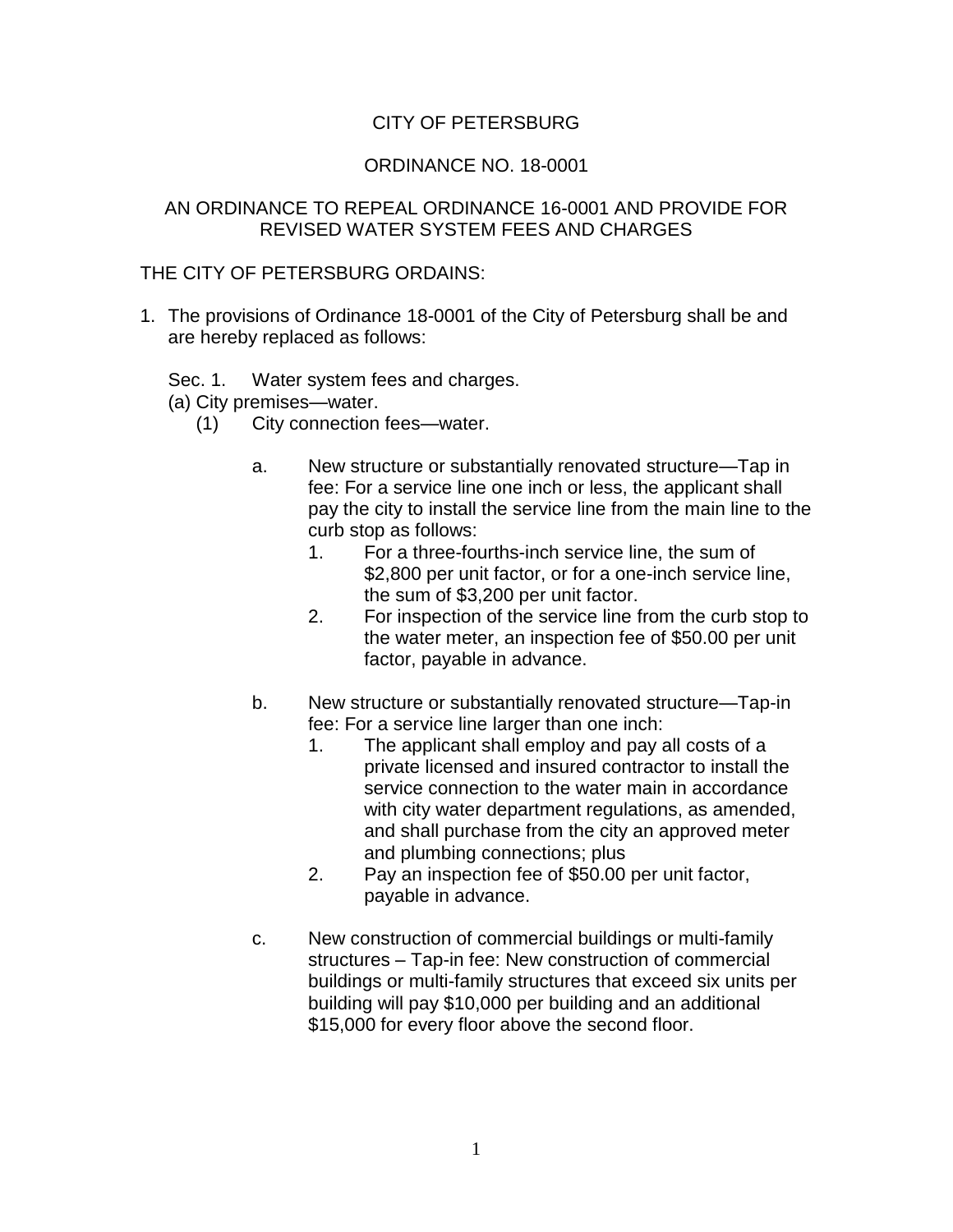## CITY OF PETERSBURG

## ORDINANCE NO. 18-0001

## AN ORDINANCE TO REPEAL ORDINANCE 16-0001 AND PROVIDE FOR REVISED WATER SYSTEM FEES AND CHARGES

## THE CITY OF PETERSBURG ORDAINS:

- 1. The provisions of Ordinance 18-0001 of the City of Petersburg shall be and are hereby replaced as follows:
	- Sec. 1. Water system fees and charges.

(a) City premises—water.

- (1) City connection fees—water.
	- a. New structure or substantially renovated structure—Tap in fee: For a service line one inch or less, the applicant shall pay the city to install the service line from the main line to the curb stop as follows:
		- 1. For a three-fourths-inch service line, the sum of \$2,800 per unit factor, or for a one-inch service line, the sum of \$3,200 per unit factor.
		- 2. For inspection of the service line from the curb stop to the water meter, an inspection fee of \$50.00 per unit factor, payable in advance.
	- b. New structure or substantially renovated structure—Tap-in fee: For a service line larger than one inch:
		- 1. The applicant shall employ and pay all costs of a private licensed and insured contractor to install the service connection to the water main in accordance with city water department regulations, as amended, and shall purchase from the city an approved meter and plumbing connections; plus
		- 2. Pay an inspection fee of \$50.00 per unit factor, payable in advance.
	- c. New construction of commercial buildings or multi-family structures – Tap-in fee: New construction of commercial buildings or multi-family structures that exceed six units per building will pay \$10,000 per building and an additional \$15,000 for every floor above the second floor.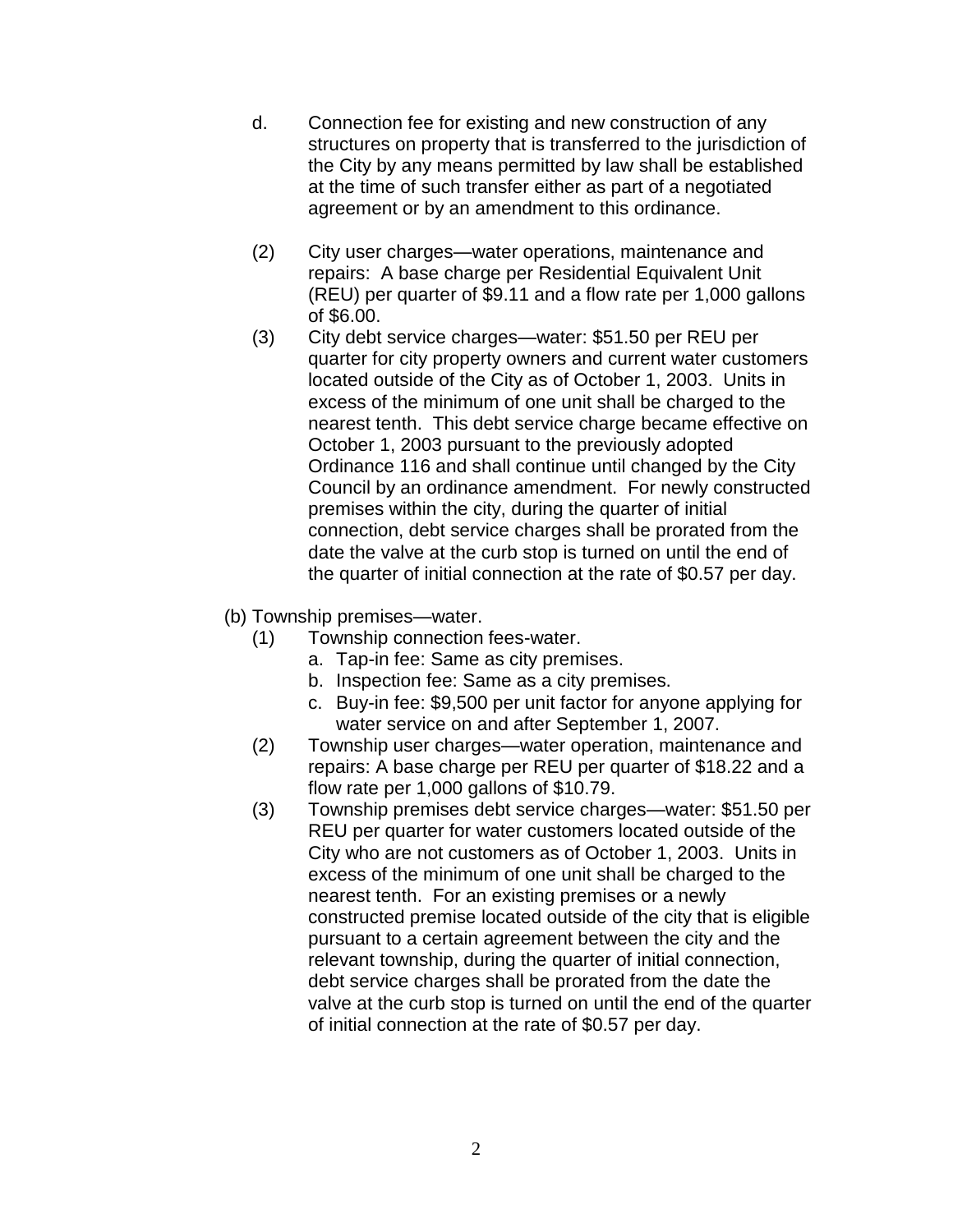- d. Connection fee for existing and new construction of any structures on property that is transferred to the jurisdiction of the City by any means permitted by law shall be established at the time of such transfer either as part of a negotiated agreement or by an amendment to this ordinance.
- (2) City user charges—water operations, maintenance and repairs: A base charge per Residential Equivalent Unit (REU) per quarter of \$9.11 and a flow rate per 1,000 gallons of \$6.00.
- (3) City debt service charges—water: \$51.50 per REU per quarter for city property owners and current water customers located outside of the City as of October 1, 2003. Units in excess of the minimum of one unit shall be charged to the nearest tenth. This debt service charge became effective on October 1, 2003 pursuant to the previously adopted Ordinance 116 and shall continue until changed by the City Council by an ordinance amendment. For newly constructed premises within the city, during the quarter of initial connection, debt service charges shall be prorated from the date the valve at the curb stop is turned on until the end of the quarter of initial connection at the rate of \$0.57 per day.
- (b) Township premises—water.
	- (1) Township connection fees-water.
		- a. Tap-in fee: Same as city premises.
		- b. Inspection fee: Same as a city premises.
		- c. Buy-in fee: \$9,500 per unit factor for anyone applying for water service on and after September 1, 2007.
	- (2) Township user charges—water operation, maintenance and repairs: A base charge per REU per quarter of \$18.22 and a flow rate per 1,000 gallons of \$10.79.
	- (3) Township premises debt service charges—water: \$51.50 per REU per quarter for water customers located outside of the City who are not customers as of October 1, 2003. Units in excess of the minimum of one unit shall be charged to the nearest tenth. For an existing premises or a newly constructed premise located outside of the city that is eligible pursuant to a certain agreement between the city and the relevant township, during the quarter of initial connection, debt service charges shall be prorated from the date the valve at the curb stop is turned on until the end of the quarter of initial connection at the rate of \$0.57 per day.